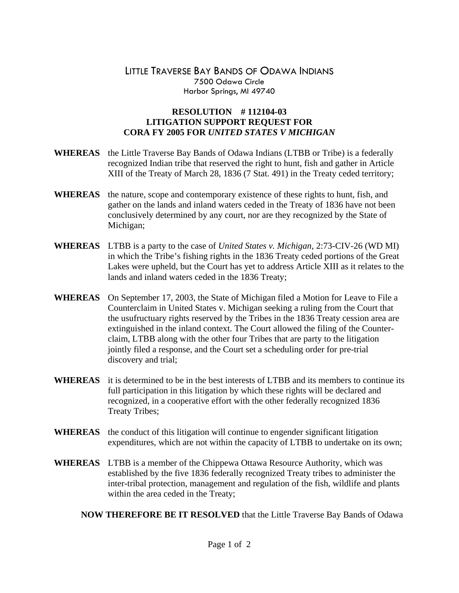## LITTLE TRAVERSE BAY BANDS OF ODAWA INDIANS 7500 Odawa Circle Harbor Springs, MI 49740

## **RESOLUTION # 112104-03 LITIGATION SUPPORT REQUEST FOR CORA FY 2005 FOR** *UNITED STATES V MICHIGAN*

- **WHEREAS** the Little Traverse Bay Bands of Odawa Indians (LTBB or Tribe) is a federally recognized Indian tribe that reserved the right to hunt, fish and gather in Article XIII of the Treaty of March 28, 1836 (7 Stat. 491) in the Treaty ceded territory;
- **WHEREAS** the nature, scope and contemporary existence of these rights to hunt, fish, and gather on the lands and inland waters ceded in the Treaty of 1836 have not been conclusively determined by any court, nor are they recognized by the State of Michigan;
- **WHEREAS** LTBB is a party to the case of *United States v. Michigan*, 2:73-CIV-26 (WD MI) in which the Tribe's fishing rights in the 1836 Treaty ceded portions of the Great Lakes were upheld, but the Court has yet to address Article XIII as it relates to the lands and inland waters ceded in the 1836 Treaty;
- **WHEREAS** On September 17, 2003, the State of Michigan filed a Motion for Leave to File a Counterclaim in United States v. Michigan seeking a ruling from the Court that the usufructuary rights reserved by the Tribes in the 1836 Treaty cession area are extinguished in the inland context. The Court allowed the filing of the Counterclaim, LTBB along with the other four Tribes that are party to the litigation jointly filed a response, and the Court set a scheduling order for pre-trial discovery and trial;
- **WHEREAS** it is determined to be in the best interests of LTBB and its members to continue its full participation in this litigation by which these rights will be declared and recognized, in a cooperative effort with the other federally recognized 1836 Treaty Tribes;
- **WHEREAS** the conduct of this litigation will continue to engender significant litigation expenditures, which are not within the capacity of LTBB to undertake on its own;
- **WHEREAS** LTBB is a member of the Chippewa Ottawa Resource Authority, which was established by the five 1836 federally recognized Treaty tribes to administer the inter-tribal protection, management and regulation of the fish, wildlife and plants within the area ceded in the Treaty;

**NOW THEREFORE BE IT RESOLVED** that the Little Traverse Bay Bands of Odawa